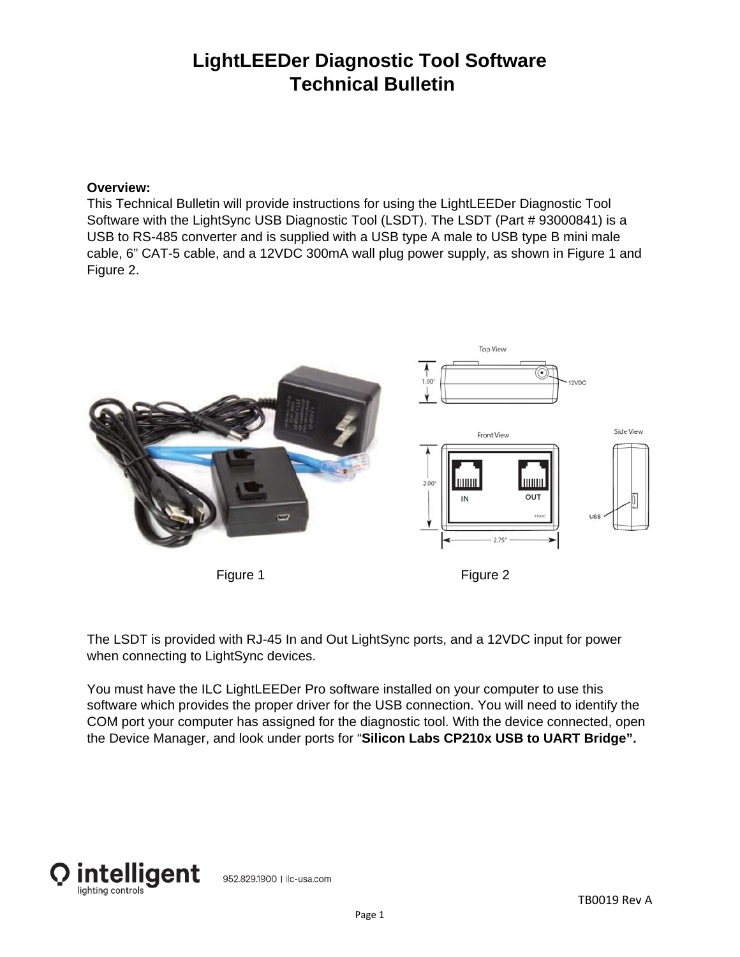## **LightLEEDer Diagnostic Tool Software Technical Bulletin**

## **Overview:**

This Technical Bulletin will provide instructions for using the LightLEEDer Diagnostic Tool Software with the LightSync USB Diagnostic Tool (LSDT). The LSDT (Part # 93000841) is a USB to RS-485 converter and is supplied with a USB type A male to USB type B mini male cable, 6" CAT-5 cable, and a 12VDC 300mA wall plug power supply, as shown in Figure 1 and Figure 2.



The LSDT is provided with RJ-45 In and Out LightSync ports, and a 12VDC input for power when connecting to LightSync devices.

You must have the ILC LightLEEDer Pro software installed on your computer to use this software which provides the proper driver for the USB connection. You will need to identify the COM port your computer has assigned for the diagnostic tool. With the device connected, open the Device Manager, and look under ports for "**Silicon Labs CP210x USB to UART Bridge".**

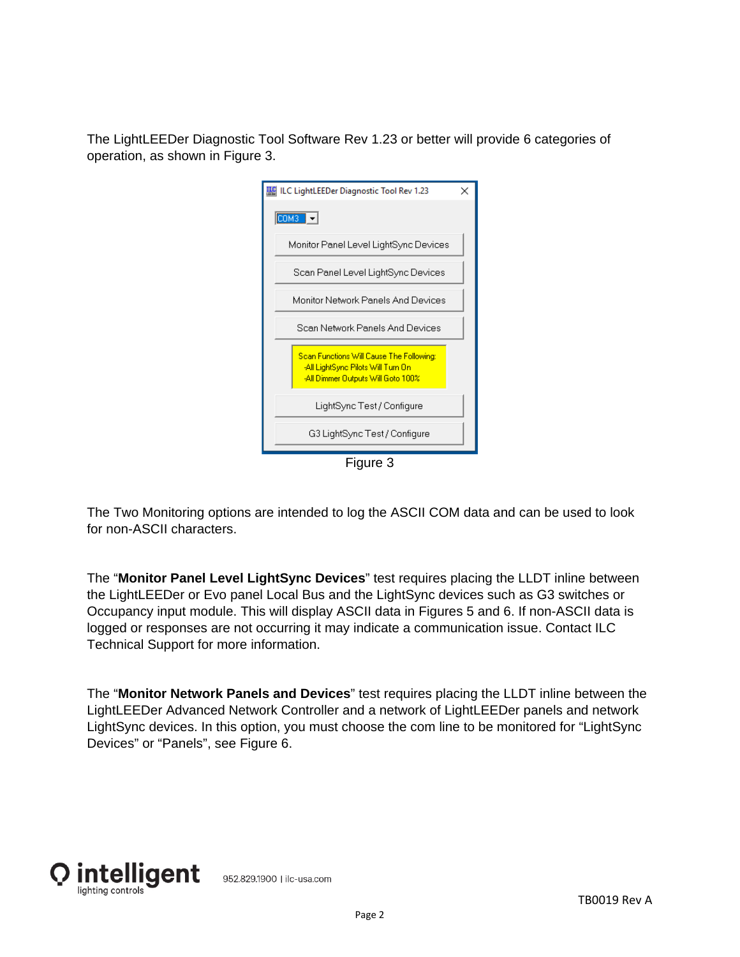The LightLEEDer Diagnostic Tool Software Rev 1.23 or better will provide 6 categories of operation, as shown in Figure 3.



The Two Monitoring options are intended to log the ASCII COM data and can be used to look for non-ASCII characters.

The "**Monitor Panel Level LightSync Devices**" test requires placing the LLDT inline between the LightLEEDer or Evo panel Local Bus and the LightSync devices such as G3 switches or Occupancy input module. This will display ASCII data in Figures 5 and 6. If non-ASCII data is logged or responses are not occurring it may indicate a communication issue. Contact ILC Technical Support for more information.

The "**Monitor Network Panels and Devices**" test requires placing the LLDT inline between the LightLEEDer Advanced Network Controller and a network of LightLEEDer panels and network LightSync devices. In this option, you must choose the com line to be monitored for "LightSync Devices" or "Panels", see Figure 6.

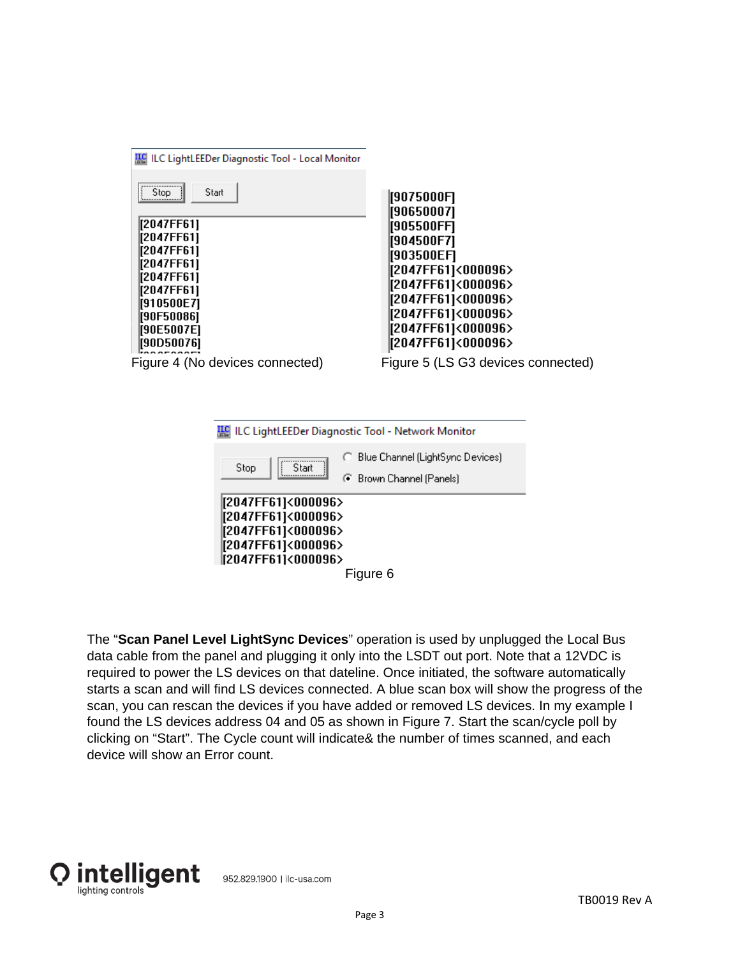| LLC LightLEEDer Diagnostic Tool - Local Monitor<br><br>Stop.<br>Start<br>[2047FF61]<br>[2047FF61]<br>[2047FF61]<br>[2047FF61]<br>[2047FF61]<br>[2047FF61]<br>[910500E7]<br>[90F50086]<br>[90E5007E]<br>[90D50076]<br>Figure 4 (No devices connected) | 9075000F <br>  90650007 <br>  905500FF <br>  904500F7 <br>  903500EF]<br>  2047FF61 <000096><br>  2047FF61 <000096><br>  2047FF61 <000096><br>  2047FF61 <000096><br>  2047FF61]<000096><br> [2047FF61]<000096><br>Figure 5 (LS G3 devices connected) |
|------------------------------------------------------------------------------------------------------------------------------------------------------------------------------------------------------------------------------------------------------|-------------------------------------------------------------------------------------------------------------------------------------------------------------------------------------------------------------------------------------------------------|
|------------------------------------------------------------------------------------------------------------------------------------------------------------------------------------------------------------------------------------------------------|-------------------------------------------------------------------------------------------------------------------------------------------------------------------------------------------------------------------------------------------------------|

| ILC LightLEEDer Diagnostic Tool - Network Monitor                                                          |                                                                |  |  |  |  |  |  |
|------------------------------------------------------------------------------------------------------------|----------------------------------------------------------------|--|--|--|--|--|--|
| Stop<br>Start                                                                                              | ◯ Blue Channel (LightSync Devices)<br>⊙ Brown Channel (Panels) |  |  |  |  |  |  |
| [2047FF61]<000096><br>[2047FF61]<000096><br>[2047FF61]<000096><br>[2047FF61]<000096><br>[2047FF61]<000096> |                                                                |  |  |  |  |  |  |
|                                                                                                            | Figure 6                                                       |  |  |  |  |  |  |

The "**Scan Panel Level LightSync Devices**" operation is used by unplugged the Local Bus data cable from the panel and plugging it only into the LSDT out port. Note that a 12VDC is required to power the LS devices on that dateline. Once initiated, the software automatically starts a scan and will find LS devices connected. A blue scan box will show the progress of the scan, you can rescan the devices if you have added or removed LS devices. In my example I found the LS devices address 04 and 05 as shown in Figure 7. Start the scan/cycle poll by clicking on "Start". The Cycle count will indicate& the number of times scanned, and each device will show an Error count.



952.829.1900 | ilc-usa.com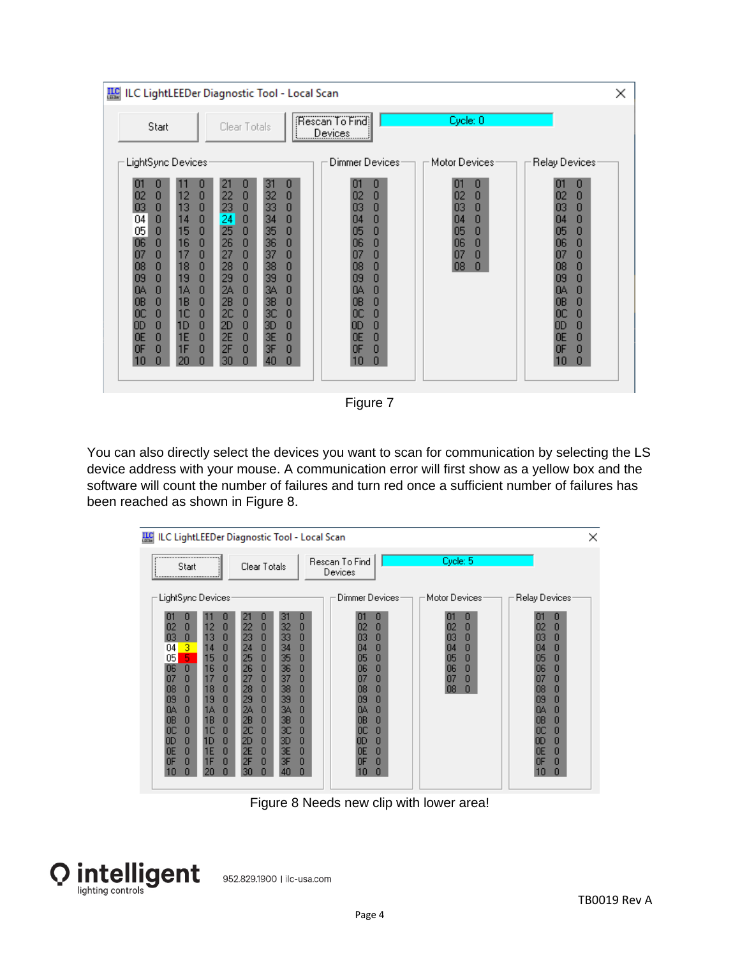| <b>ILC</b>                                                                                                                                                                                                                                                                                                                                                                                                                                                                          | ILC LightLEEDer Diagnostic Tool - Local Scan                                                                                                                                                                                                                                                                                                                                                                                                                     |                                                                                                                                                                                      |                                                                                      | ×                                                                                                                                                                                         |
|-------------------------------------------------------------------------------------------------------------------------------------------------------------------------------------------------------------------------------------------------------------------------------------------------------------------------------------------------------------------------------------------------------------------------------------------------------------------------------------|------------------------------------------------------------------------------------------------------------------------------------------------------------------------------------------------------------------------------------------------------------------------------------------------------------------------------------------------------------------------------------------------------------------------------------------------------------------|--------------------------------------------------------------------------------------------------------------------------------------------------------------------------------------|--------------------------------------------------------------------------------------|-------------------------------------------------------------------------------------------------------------------------------------------------------------------------------------------|
| Start                                                                                                                                                                                                                                                                                                                                                                                                                                                                               | Clear Totals                                                                                                                                                                                                                                                                                                                                                                                                                                                     | (Rescan To Find)<br><u>  Devices  </u>                                                                                                                                               | Cycle: 0                                                                             |                                                                                                                                                                                           |
| LightSync Devices:                                                                                                                                                                                                                                                                                                                                                                                                                                                                  |                                                                                                                                                                                                                                                                                                                                                                                                                                                                  | Dimmer Devices:                                                                                                                                                                      | Motor Devices:                                                                       | Relay Devices                                                                                                                                                                             |
| 0<br>0<br>11<br>П<br>12<br>$\bf{0}$<br>$\bf{0}$<br>02<br>13<br>03<br>$\mathbf{0}$<br>$\mathbf{0}$<br>14<br>04<br>0<br>$\mathbf{0}$<br>05<br>15<br>$\bf{0}$<br>$\mathbf{0}$<br>06<br>16<br>$\mathbf{0}$<br>$\mathbf{0}$<br>17<br>07<br>0<br>$\mathbf{0}$<br>18<br>08<br>$\mathbf{0}$<br>$\mathbf{0}$<br>19<br>09<br>O<br>0<br>1A<br>O<br>O<br>0A<br>18<br>0B<br>O<br>0<br>1C<br>0<br>0<br>0C<br>1D<br>0<br>O<br>OD<br>1E<br>OΕ<br>0<br>O<br>1F<br>O<br>O<br>0F<br>n<br>10<br>n<br>20 | 21<br>0<br>31<br>0<br>22<br>$\bf{0}$<br>32<br>0<br>23<br>33<br>$\mathbf{0}$<br>0<br>24<br>34<br>$\mathbf 0$<br>0<br>25<br>$\mathbf{0}$<br>35<br>0<br>26<br>36<br>$\mathbf{0}$<br>0<br>27<br>37<br>$\mathbf{0}$<br>O<br>38<br>28<br>$\mathbf{0}$<br>O<br>39<br>29<br>0<br>O<br>24<br>34<br>n<br>O<br>2B<br>3В<br>$\mathbf{0}$<br>0<br>2C<br>3C<br>$\bf{0}$<br>0<br>2D<br>$\mathbf 0$<br>3D<br>0<br>2E<br>3E<br>0<br>O<br>2F<br>3F<br>0<br>O<br>n<br>40<br>n<br>30 | 101<br>0<br>02<br>0<br>03<br>0<br>0<br>04<br>0<br>05<br>06<br>0<br>0<br>07<br>08<br>0<br>09<br>0<br>0<br>ΩA<br><b>OB</b><br>0<br>0C<br>0<br>0<br>0D<br>0<br>0E<br>0<br>0F<br>0<br>10 | 0<br>01<br>0<br>02<br>0<br>03<br>0<br>04<br>0<br>05<br>0<br>06<br>0<br>07<br>08<br>0 | 0<br>O<br>02<br>0<br>03<br>0<br>0<br>04<br>05<br>۵<br>06<br>0<br>07<br>0<br>08<br>۵<br>09<br>O<br>O<br>Q۵<br><b>OB</b><br>O<br>0C<br>0<br>0<br>OD<br>0E<br>0<br><b>OF</b><br>0<br>10<br>n |

Figure 7

You can also directly select the devices you want to scan for communication by selecting the LS device address with your mouse. A communication error will first show as a yellow box and the software will count the number of failures and turn red once a sufficient number of failures has been reached as shown in Figure 8.

| <b>We ILC LightLEEDer Diagnostic Tool - Local Scan</b><br>×                                                                                                                                                                                                                                                                                           |                                                                                                                                                                                                                                                                                                                                                                                           |                                                                                                                                                                                                       |                                                                                           |                                                                                                                                                                                                            |  |  |  |  |
|-------------------------------------------------------------------------------------------------------------------------------------------------------------------------------------------------------------------------------------------------------------------------------------------------------------------------------------------------------|-------------------------------------------------------------------------------------------------------------------------------------------------------------------------------------------------------------------------------------------------------------------------------------------------------------------------------------------------------------------------------------------|-------------------------------------------------------------------------------------------------------------------------------------------------------------------------------------------------------|-------------------------------------------------------------------------------------------|------------------------------------------------------------------------------------------------------------------------------------------------------------------------------------------------------------|--|--|--|--|
| Start                                                                                                                                                                                                                                                                                                                                                 | Clear Totals                                                                                                                                                                                                                                                                                                                                                                              | Rescan To Find<br><b>Devices</b>                                                                                                                                                                      | Cycle: 5                                                                                  |                                                                                                                                                                                                            |  |  |  |  |
| LightSync Devices:<br>O<br>O<br>12<br>0<br>0<br>02<br>13<br>0<br>0<br>03<br>3<br>04<br>14<br>0<br>5<br>05<br>15<br>0<br>0<br>06<br>16<br>0<br>07<br>0<br>17<br>0<br>n8<br>0<br>18<br>0<br>19<br>09<br>0<br>n<br>Ω<br>1A<br>O<br>ΩA<br>O<br>1В<br>O<br>OΒ<br>0<br>1C<br>OC<br>0<br>0<br>1D<br>0<br>1E<br>0<br>n<br>ΩE<br>1F<br>0<br>O<br>ΩF<br>20<br>П | 21<br>31<br>0<br>п<br>22<br>32<br>0<br>0<br>23<br>33<br>0<br>0<br>24<br>0<br>0<br>34<br>25<br>35<br>0<br>0<br>26<br>0<br>36<br>0<br>27<br>37<br>۵<br>0<br>28<br>0<br>38<br>0<br>29<br>39<br>0<br>0<br>2A<br>۵<br>$\Omega$<br>34.<br>2B<br>3B<br>$\mathbf{0}$<br>$\mathbf 0$<br>2C<br>ЗC<br>0<br>۵<br>2D<br>0<br>ЗD<br>0<br>2E<br>3E<br>0<br>0<br>2F<br>3F<br>0<br>Ω<br>30<br>n<br>40<br>n | Dimmer Devices<br>0<br>m<br>02<br>0<br>03<br>0<br>0<br>04<br>05<br>0<br>06<br>0<br>07<br>0<br>08<br>n<br>09<br>0<br>O<br>QA.<br><b>OB</b><br>0<br>0C<br>O<br>OD<br>0<br>0<br>0E<br>0F<br>O<br>0<br>10 | Motor Devices<br>0<br>0<br>02<br>0<br>03<br>O<br>04<br>05<br>0<br>06<br>0<br>0<br>08<br>n | Relay Devices<br>0<br>02 <sub>2</sub><br>0<br>03<br>0<br>0<br>04<br>05<br>0<br>06<br>0<br>07<br>0<br>08<br>0<br>09<br>0<br>O<br>QA.<br>0B<br>0<br>0C<br>۵<br>0<br>OD<br><sub>OE</sub><br>0<br>0F<br>0<br>n |  |  |  |  |
|                                                                                                                                                                                                                                                                                                                                                       |                                                                                                                                                                                                                                                                                                                                                                                           |                                                                                                                                                                                                       |                                                                                           |                                                                                                                                                                                                            |  |  |  |  |

Figure 8 Needs new clip with lower area!



952.829.1900 | ilc-usa.com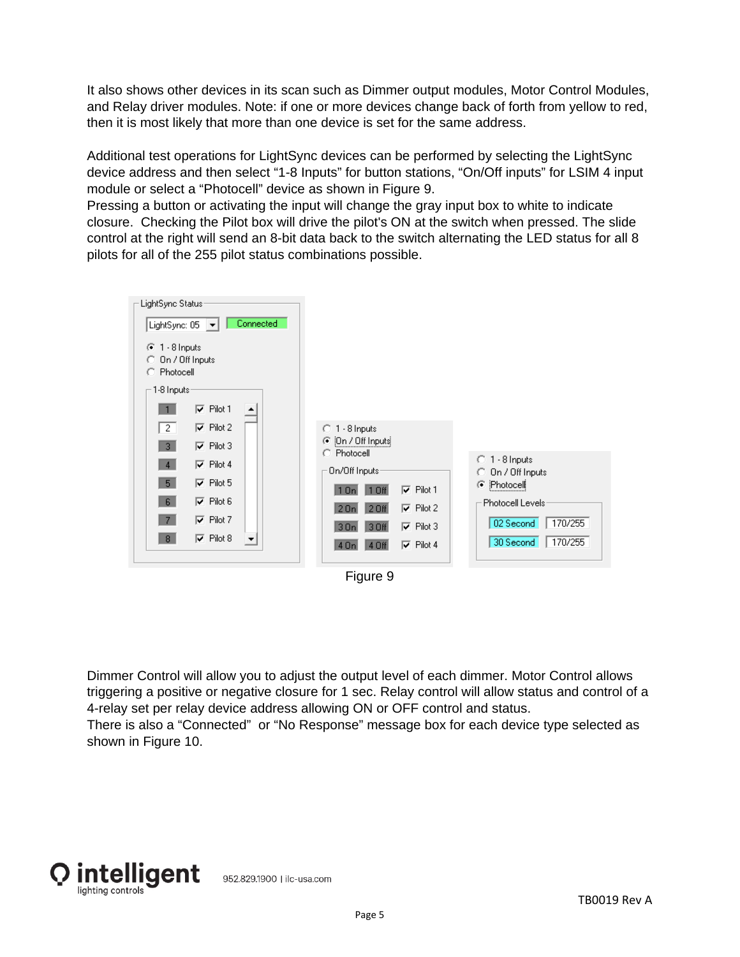It also shows other devices in its scan such as Dimmer output modules, Motor Control Modules, and Relay driver modules. Note: if one or more devices change back of forth from yellow to red, then it is most likely that more than one device is set for the same address.

Additional test operations for LightSync devices can be performed by selecting the LightSync device address and then select "1-8 Inputs" for button stations, "On/Off inputs" for LSIM 4 input module or select a "Photocell" device as shown in Figure 9.

Pressing a button or activating the input will change the gray input box to white to indicate closure. Checking the Pilot box will drive the pilot's ON at the switch when pressed. The slide control at the right will send an 8-bit data back to the switch alternating the LED status for all 8 pilots for all of the 255 pilot status combinations possible.





Dimmer Control will allow you to adjust the output level of each dimmer. Motor Control allows triggering a positive or negative closure for 1 sec. Relay control will allow status and control of a 4-relay set per relay device address allowing ON or OFF control and status. There is also a "Connected" or "No Response" message box for each device type selected as shown in Figure 10.

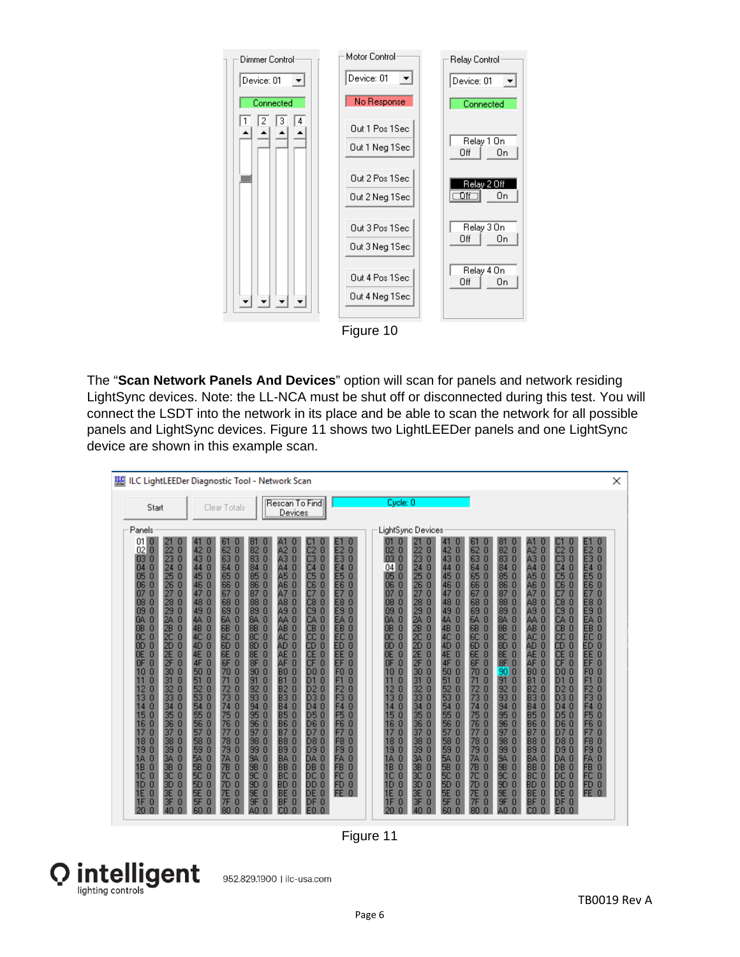

Figure 10

The "**Scan Network Panels And Devices**" option will scan for panels and network residing LightSync devices. Note: the LL-NCA must be shut off or disconnected during this test. You will connect the LSDT into the network in its place and be able to scan the network for all possible panels and LightSync devices. Figure 11 shows two LightLEEDer panels and one LightSync device are shown in this example scan.

| <b>IEC</b> ILC LightLEEDer Diagnostic Tool - Network Scan                                                                                                                                                                                                                                                                                                                                                                                                                                                                                                                                                                                                                                                                                                                                                                                                 |                                                                                                                                                                                                                                                                                                                                                                                                                                                                                                                                                                                                                                                                                                                                                                                                                                                                                                                                                                                                                                   |                                                                                                                                                                                                                                                                                                                                                                                                                                                                                                                                                                                                                                                                                                                                                                                                                                                                                                                                                                                                                                                                                                                                                                                                                |                                                                                                                                                                                                                                                                                                                                                                                                                                                                                                   |                                                                                                                                                                                                                                                                                                                                                                                                                                                                                                                                                                                            |                                                                                                                                                                                                                                                                                                                                                                                                                                                                                                                                                                                                          |                                                                                                                                                                                                                                                                                                                                                                                                                                                                                                                                                                                                                                                                                                                                            |                                                                                                                                                                                                                                                                                                                                                                                                                                                                                        |                                                                                                                                                                                                                                                                                                                                                                                                                                                                                           |                                                                                                                                                                                                                                                                                                                                                                                                                                                                                                                                    |                                                                                                                                                                                                                                                                                                                                                                                                                                                                                                                                                                                                                                          |                                                                                                                                                                                                                                                                                                                                                                                                                                                                                                                                                                                                                                                                                                        | × |
|-----------------------------------------------------------------------------------------------------------------------------------------------------------------------------------------------------------------------------------------------------------------------------------------------------------------------------------------------------------------------------------------------------------------------------------------------------------------------------------------------------------------------------------------------------------------------------------------------------------------------------------------------------------------------------------------------------------------------------------------------------------------------------------------------------------------------------------------------------------|-----------------------------------------------------------------------------------------------------------------------------------------------------------------------------------------------------------------------------------------------------------------------------------------------------------------------------------------------------------------------------------------------------------------------------------------------------------------------------------------------------------------------------------------------------------------------------------------------------------------------------------------------------------------------------------------------------------------------------------------------------------------------------------------------------------------------------------------------------------------------------------------------------------------------------------------------------------------------------------------------------------------------------------|----------------------------------------------------------------------------------------------------------------------------------------------------------------------------------------------------------------------------------------------------------------------------------------------------------------------------------------------------------------------------------------------------------------------------------------------------------------------------------------------------------------------------------------------------------------------------------------------------------------------------------------------------------------------------------------------------------------------------------------------------------------------------------------------------------------------------------------------------------------------------------------------------------------------------------------------------------------------------------------------------------------------------------------------------------------------------------------------------------------------------------------------------------------------------------------------------------------|---------------------------------------------------------------------------------------------------------------------------------------------------------------------------------------------------------------------------------------------------------------------------------------------------------------------------------------------------------------------------------------------------------------------------------------------------------------------------------------------------|--------------------------------------------------------------------------------------------------------------------------------------------------------------------------------------------------------------------------------------------------------------------------------------------------------------------------------------------------------------------------------------------------------------------------------------------------------------------------------------------------------------------------------------------------------------------------------------------|----------------------------------------------------------------------------------------------------------------------------------------------------------------------------------------------------------------------------------------------------------------------------------------------------------------------------------------------------------------------------------------------------------------------------------------------------------------------------------------------------------------------------------------------------------------------------------------------------------|--------------------------------------------------------------------------------------------------------------------------------------------------------------------------------------------------------------------------------------------------------------------------------------------------------------------------------------------------------------------------------------------------------------------------------------------------------------------------------------------------------------------------------------------------------------------------------------------------------------------------------------------------------------------------------------------------------------------------------------------|----------------------------------------------------------------------------------------------------------------------------------------------------------------------------------------------------------------------------------------------------------------------------------------------------------------------------------------------------------------------------------------------------------------------------------------------------------------------------------------|-------------------------------------------------------------------------------------------------------------------------------------------------------------------------------------------------------------------------------------------------------------------------------------------------------------------------------------------------------------------------------------------------------------------------------------------------------------------------------------------|------------------------------------------------------------------------------------------------------------------------------------------------------------------------------------------------------------------------------------------------------------------------------------------------------------------------------------------------------------------------------------------------------------------------------------------------------------------------------------------------------------------------------------|------------------------------------------------------------------------------------------------------------------------------------------------------------------------------------------------------------------------------------------------------------------------------------------------------------------------------------------------------------------------------------------------------------------------------------------------------------------------------------------------------------------------------------------------------------------------------------------------------------------------------------------|--------------------------------------------------------------------------------------------------------------------------------------------------------------------------------------------------------------------------------------------------------------------------------------------------------------------------------------------------------------------------------------------------------------------------------------------------------------------------------------------------------------------------------------------------------------------------------------------------------------------------------------------------------------------------------------------------------|---|
| Start                                                                                                                                                                                                                                                                                                                                                                                                                                                                                                                                                                                                                                                                                                                                                                                                                                                     | Clear Totals                                                                                                                                                                                                                                                                                                                                                                                                                                                                                                                                                                                                                                                                                                                                                                                                                                                                                                                                                                                                                      | Devices                                                                                                                                                                                                                                                                                                                                                                                                                                                                                                                                                                                                                                                                                                                                                                                                                                                                                                                                                                                                                                                                                                                                                                                                        | Rescan To Find                                                                                                                                                                                                                                                                                                                                                                                                                                                                                    |                                                                                                                                                                                                                                                                                                                                                                                                                                                                                                                                                                                            | Cycle: 0                                                                                                                                                                                                                                                                                                                                                                                                                                                                                                                                                                                                 |                                                                                                                                                                                                                                                                                                                                                                                                                                                                                                                                                                                                                                                                                                                                            |                                                                                                                                                                                                                                                                                                                                                                                                                                                                                        |                                                                                                                                                                                                                                                                                                                                                                                                                                                                                           |                                                                                                                                                                                                                                                                                                                                                                                                                                                                                                                                    |                                                                                                                                                                                                                                                                                                                                                                                                                                                                                                                                                                                                                                          |                                                                                                                                                                                                                                                                                                                                                                                                                                                                                                                                                                                                                                                                                                        |   |
| Panels                                                                                                                                                                                                                                                                                                                                                                                                                                                                                                                                                                                                                                                                                                                                                                                                                                                    |                                                                                                                                                                                                                                                                                                                                                                                                                                                                                                                                                                                                                                                                                                                                                                                                                                                                                                                                                                                                                                   |                                                                                                                                                                                                                                                                                                                                                                                                                                                                                                                                                                                                                                                                                                                                                                                                                                                                                                                                                                                                                                                                                                                                                                                                                |                                                                                                                                                                                                                                                                                                                                                                                                                                                                                                   |                                                                                                                                                                                                                                                                                                                                                                                                                                                                                                                                                                                            | LightSync Devices                                                                                                                                                                                                                                                                                                                                                                                                                                                                                                                                                                                        |                                                                                                                                                                                                                                                                                                                                                                                                                                                                                                                                                                                                                                                                                                                                            |                                                                                                                                                                                                                                                                                                                                                                                                                                                                                        |                                                                                                                                                                                                                                                                                                                                                                                                                                                                                           |                                                                                                                                                                                                                                                                                                                                                                                                                                                                                                                                    |                                                                                                                                                                                                                                                                                                                                                                                                                                                                                                                                                                                                                                          |                                                                                                                                                                                                                                                                                                                                                                                                                                                                                                                                                                                                                                                                                                        |   |
| 01<br>10<br>21<br>$\bf{0}$<br>22<br>$\bf{0}$<br>02<br>23<br>$\bf{0}$<br>$\bf{0}$<br>03<br>24<br>$\bf{0}$<br>$\bf{0}$<br>04<br>25<br>0<br>05<br>0<br>26<br>n<br>06<br>n<br>0<br>27<br>0<br>n <sub>7</sub><br>0<br>28<br>$\bf{0}$<br>08<br>29<br>O<br>$\bf{0}$<br>09<br>24<br>$\bf{0}$<br>QA.<br>0<br>2B<br><b>OB</b><br>0<br>$\bf{0}$<br>0<br>0C<br>2C<br>0<br><b>OD</b><br>0<br>2D<br>0<br>0<br><b>2E</b><br>0<br><b>OE</b><br>0<br>2F<br>$\bf{0}$<br><b>OF</b><br>30<br>0<br>$\bf{0}$<br>10<br>0<br>31<br>0<br>32<br>0<br>12<br>0<br>33<br>0<br>13<br>0<br>34<br>0<br>O<br>35<br>15<br>0<br>0<br>16<br>36<br>0<br>0<br>37<br>0<br>0<br>18<br>38<br>0<br>$\bf{0}$<br>19<br>39<br>0<br>0<br>0<br>O<br>34<br>1A<br>3B<br>18<br>0<br>n<br>0<br>3C<br>0<br>1 <sup>C</sup><br>0<br>3D<br>0<br>1 <sub>D</sub><br>3E<br>0<br>1E<br>0<br>1F<br>O<br>3F<br>0<br>20 | ы<br>42<br>$\mathbf{0}$<br>62<br>$\bf{0}$<br>43 0<br>63<br>$\Omega$<br>44 0<br>64<br>$\Omega$<br>45 0<br>65<br>0<br>46<br>$\sqrt{ }$<br>66<br>n<br>$\bf{0}$<br>47<br>0<br>67<br>48 0<br>68<br>$\mathbf{0}$<br>49 0<br>69<br>$\mathbf{0}$<br>4A 0<br><b>6A</b><br>0<br>4B 0<br>68<br>n<br>4C<br>0<br>0<br>БC<br>4D<br>$\mathbf 0$<br>0<br>6D<br>$\Omega$<br>6E<br>0<br>4E<br>4F<br>6F<br>$\mathbf{0}$<br>$\Omega$<br>50<br>$\mathbf{0}$<br>70<br>$\Omega$<br>51<br>0<br>0<br>52<br>0<br>0<br>72<br>53<br>$\mathbf{0}$<br>0<br>73<br>$\mathbf{0}$<br>54<br>$\bf{0}$<br>74<br>55<br>75<br>$\Omega$<br>$\mathbf{0}$<br>56<br>$\bf{0}$<br>76<br>$\mathbf{0}$<br>57<br>$\bf{0}$<br>0<br>77<br>58<br>$\mathbf{0}$<br>78<br>$\theta$<br>59<br>79<br>$\mathbf{0}$<br>$\mathbf{0}$<br>54<br>$\mathbf{0}$<br>0<br>7A<br>58<br>$\Omega$<br>$\mathbf{0}$<br><b>7B</b><br>50.<br>$\bf{0}$<br>7C<br>$\bf{0}$<br><b>5D</b><br>$\mathbf{0}$<br>7 <sub>D</sub><br>$\mathbf{0}$<br><b>5E</b><br>$\mathbf{0}$<br><b>7E</b><br>0<br>5F<br>n<br>7F<br>0 | $\mathbf{0}$<br>82<br>A2<br>$\mathbf{0}$<br>$\theta$<br>83<br>A3<br>$\mathbf{0}$<br>84<br>$\mathbf 0$<br>$\Omega$<br>$\triangle 4$<br>$\mathbf 0$<br>A <sub>5</sub><br>$\bf{0}$<br>85<br>86<br>$\mathbf{0}$<br>A6<br>n<br>$\mathbf{0}$<br>А7<br>0<br>87<br>88<br>$\Box$<br>A <sub>8</sub><br>$\mathbf{0}$<br>89<br>$\overline{0}$<br>A <sub>9</sub><br>$\Box$<br>84<br>$\mathbf 0$<br>AA 0<br>8B<br>$\Omega$<br>$\mathbf 0$<br>AB.<br>$\mathbf 0$<br>8C<br>AC.<br>$\overline{0}$<br>$\mathbf{0}$<br>8D<br>AD.<br>$\mathbf 0$<br>8E<br>$\mathbf{0}$<br>AE.<br>$\mathbf 0$<br>8F<br>$\Box$<br>AF<br>$\mathbf{0}$<br>$\mathbf 0$<br>90<br>B <sub>0</sub><br>$\Box$<br>91<br>0<br><b>B1</b><br>0<br>92<br>0<br>B <sub>2</sub><br>0<br>93<br>B <sub>3</sub><br>0<br>$\Omega$<br>94<br>O<br>95<br>$\theta$<br><b>B5</b><br>$\Omega$<br>96<br>$\mathbf 0$<br><b>B6</b><br>$\Omega$<br>97<br>$\mathbf{0}$<br><b>B7</b><br>0<br>98<br>$\mathbf{0}$<br>$\Omega$<br><b>B8</b><br>99<br>$\Box$<br><b>B9</b><br>$\mathbf 0$<br>94<br>0<br>BA.<br>0<br>9B<br>$\Box$<br><b>BB</b><br>$\Omega$<br>9C<br>$\mathbf 0$<br>BC 0<br>9D<br>$\mathbf 0$<br>BD 0<br>9E<br>$\theta$<br><b>BE</b><br>$\mathbf{0}$<br>9F<br>0<br>BF<br>ΔN | $\overline{2}$<br>n<br>C3<br>$\mathbf{0}$<br>C4<br>$\mathbf{0}$<br>$\overline{5}$<br>C <sub>6</sub><br>C7<br>O<br>C <sub>8</sub><br>$\mathbf{0}$<br>C9<br>$\mathbf{0}$<br>CA <sub>0</sub><br>CB <sub>0</sub><br>CC.<br>n<br>CD<br>n<br><b>CE</b><br>$\mathbf{0}$<br><b>CF</b><br>$\mathbf{0}$<br><b>DO 0</b><br>0<br>$\mathbf{0}$<br>D1<br>D <sub>20</sub><br>D30<br>D4 0<br>D50<br>D60<br>D7 0<br><b>D80</b><br><b>D90</b><br>DA 0<br>DB 0<br>DC 0<br>DD <sub>0</sub><br>DE 0<br>0<br>DF 0<br>EO | E <sub>2</sub><br>$\mathbf{0}$<br>E <sub>3</sub><br>$\bf{0}$<br>E <sub>4</sub><br>O<br><b>E5</b><br>0<br>E <sub>6</sub><br>n<br>E7<br>0<br>E8 0<br>E <sub>9</sub><br>$\bf{0}$<br>EA <sub>0</sub><br>EB <sub>0</sub><br>EC <sub>0</sub><br>ED <sub>0</sub><br>EE<br>$\mathbf 0$<br>EF<br>$\bf{0}$<br>F <sub>0</sub><br>$\bf{0}$<br>F1<br>0<br>0<br>F2<br>F3<br>0<br>F4<br>n<br>F <sub>5</sub><br>O<br>F <sub>6</sub><br>$\Omega$<br>F7<br>0<br>F <sub>8</sub><br>$\bf{0}$<br>F <sub>9</sub><br>$\bf{0}$<br>FA<br>O<br>F <sub>B</sub><br>$\mathbf{0}$<br>FC.<br>n<br>FD <sub>0</sub><br>FE 0 | m<br>22<br>0<br>02<br>23<br>03<br>$\Omega$<br>04<br>24<br>0<br>25<br>05<br>n<br>06<br>26<br>n<br>27<br>07<br>n<br>08<br>$\bf{0}$<br>28<br>29<br>09<br>O<br>OA.<br>2A<br>0<br>2B<br>OB.<br>n<br>0C<br>0<br>2C<br>2D<br><b>OD</b><br>0<br>2E<br><b>DE</b><br>n<br><b>OF</b><br>2F<br>0<br>30<br>10<br>o<br>31<br>11<br>0<br>12<br>32<br>0<br>13<br>33<br>O<br>34<br>o<br>14<br>35<br>15<br>n<br>16<br>36<br>n<br>37<br>17<br>0<br>18<br>38<br>$\mathbf{0}$<br>19<br>39<br>O<br>34<br>1A<br>O<br>3B<br><b>1B</b><br>n<br>3C<br>1C<br>n<br>3D<br>1 <sub>D</sub><br>0<br>3E<br>1E<br>o<br>1F<br>3F<br>0<br>20 | $\mathbf{0}$<br>$\bf{0}$<br>42<br>$\bf{0}$<br>0<br>43<br>$\mathbf 0$<br>$\bf{0}$<br>44<br>$\theta$<br>45<br>0<br>$\mathbf{0}$<br>46<br>n<br>0<br>0<br>47<br>$\mathbf 0$<br>48<br>$\Box$<br>0<br>49<br>$\Box$<br>$\bf{0}$<br>44<br>0<br>4B<br>$\bf{0}$<br>0<br>$\mathbf{0}$<br>0<br>4C<br>0<br>4D<br>0<br>$\mathbf 0$<br>0<br>4E<br>0<br>0<br>4F<br>0<br>50<br>$\bf{0}$<br>0<br>0<br>51<br>52<br>0<br>0<br>o<br>53<br>0<br>O<br>o<br>54<br>$\mathbf{0}$<br>55<br>0<br>$\mathbf{0}$<br>56<br>$\mathbf{0}$<br>0<br>57<br>0<br>$\Box$<br>58<br>0<br>0<br>59<br>O<br>0<br>5A<br>0<br>0<br><b>5B</b><br>0<br>0<br>$\bf{0}$<br><b>5C</b><br>$\mathbf{0}$<br><b>5D</b><br>$\bf{0}$<br>$\mathbf{0}$<br><b>5E</b><br>$\bf{0}$<br>0<br><b>5F</b><br>O | ы<br>$\bf{0}$<br>62<br>63<br>$\bf{0}$<br>64<br>0<br>65<br>$\bf{0}$<br>66<br>0<br>67<br>0<br>68<br>$\bf{0}$<br>69<br>$\bf{0}$<br><b>6A</b><br>$\bf{0}$<br><b>GB</b><br>0<br>6C<br>0<br>6D<br>0<br><b>BE</b><br>$\bf{0}$<br>6F<br>$\bf{0}$<br>70<br>$\bf{0}$<br>0<br>72<br>0<br>73<br>0<br>0<br>75<br>$\bf{0}$<br>76<br>$\bf{0}$<br>0<br>77<br>78<br>$\bf{0}$<br>79<br>0<br>0<br><b>7A</b><br>7B<br>$\mathbf{0}$<br>$\bf{0}$<br><b>7C</b><br><b>7D</b><br>0<br><b>7E</b><br>0<br>7F<br>O | $\bf{0}$<br>82<br>83<br>$\bf{0}$<br>84 0<br>85<br>$\bf{0}$<br>86<br>$\bf{0}$<br>0<br>87<br>88<br>$\bf{0}$<br>89<br>$\bf{0}$<br>8A 0<br>88<br>$\bf{0}$<br>0<br>8C<br>8D<br>0<br>8E<br>0<br>8F<br>$\bf{0}$<br>$90$ $0$<br>91<br>0<br>92<br>$\bf{0}$<br>93<br>0<br>94<br>$\bf{0}$<br>95<br>$\bf{0}$<br>96<br>$\bf{0}$<br>97<br>$\bf{0}$<br>98<br>0<br>99<br>$\bf{0}$<br>$\bf{0}$<br>94<br><b>9B</b><br>$\Omega$<br>9C<br>$\bf{0}$<br>9 <sub>D</sub><br>$\bf{0}$<br>9E<br>$\bf{0}$<br>9F<br>O | A2<br>$\mathbf{0}$<br>A30<br>$\mathbb{A}4$<br>$\Omega$<br>A5<br>$\overline{0}$<br>A6<br>$\Omega$<br>n<br>Δ7<br>A80<br>A9 0<br>AA 0<br>AB <sub>0</sub><br>AC 0<br>AD 0<br><b>AE</b><br>$\mathbf{0}$<br><b>AF</b><br>$\mathbf{0}$<br><b>BO 0</b><br><b>B1</b><br>0<br><b>B2</b><br>$\mathbf{0}$<br><b>B3</b><br>$\mathbf{0}$<br>$\Omega$<br><b>B4</b><br><b>B50</b><br><b>B60</b><br><b>B7</b><br>$\bf{0}$<br><b>B80</b><br><b>B9</b><br>$\mathbf{0}$<br>BA O<br><b>BB0</b><br>BC 0<br>BD <sub>0</sub><br>BE <sub>0</sub><br>BF<br>0 | C <sub>2</sub><br>0<br>C <sub>3</sub><br>$\bf{0}$<br>0<br>C <sub>4</sub><br>0<br>C <sub>5</sub><br>C6<br>n<br>0<br>C <sub>8</sub><br>0<br>C <sub>9</sub><br>$\mathbf{0}$<br><b>CA</b><br>0<br>CB<br>0<br>0<br>СC<br>$\mathbf{0}$<br>CD<br><b>CE</b><br>$\mathbf{0}$<br><b>CF</b><br>$\mathbf{0}$<br>DO 0<br>0<br>D1<br>0<br>D <sub>2</sub><br>$\Omega$<br>D <sub>3</sub><br>$\Omega$<br>D4<br><b>D5</b><br>0<br>D <sub>6</sub><br>$\mathbf 0$<br>$\mathbf{0}$<br>D <sub>7</sub><br><b>D80</b><br>D <sub>9</sub><br>$\mathbf{0}$<br>$\mathbf{0}$<br>DA.<br>DB <sub>0</sub><br>DC.<br>0<br>DD <sub>0</sub><br>DE 0<br>0<br>DF.<br>E0.<br>n | 0<br>E1<br>E <sub>2</sub><br>$\Omega$<br>E <sub>3</sub><br>$\Omega$<br>$\Box$<br>E <sub>4</sub><br>$\mathbf 0$<br>E <sub>5</sub><br>E <sub>6</sub><br>n<br>0<br>E <sub>8</sub><br>n<br>E <sub>9</sub><br>$\Box$<br>EA <sub>0</sub><br>EB <sub>0</sub><br>EC.<br>$\mathbf 0$<br>ED.<br>$\mathbf 0$<br>$\Omega$<br><b>EE</b><br>EF<br>$\mathbf 0$<br>F <sub>0</sub><br>$\Box$<br>$\mathbf 0$<br>F <sub>1</sub><br>0<br>F <sub>2</sub><br>F3<br>0<br>$\Omega$<br>F4<br>$\Omega$<br>F <sub>5</sub><br>F <sub>6</sub><br>$\Omega$<br>$\mathbf 0$<br>F7<br>F <sub>8</sub><br>$\theta$<br>F <sub>9</sub><br>$\Box$<br>$\mathbf{0}$<br>FA<br><b>FB</b><br>$\Box$<br>FC <sub>0</sub><br>FD <sub>0</sub><br>FE 0 |   |

Figure 11

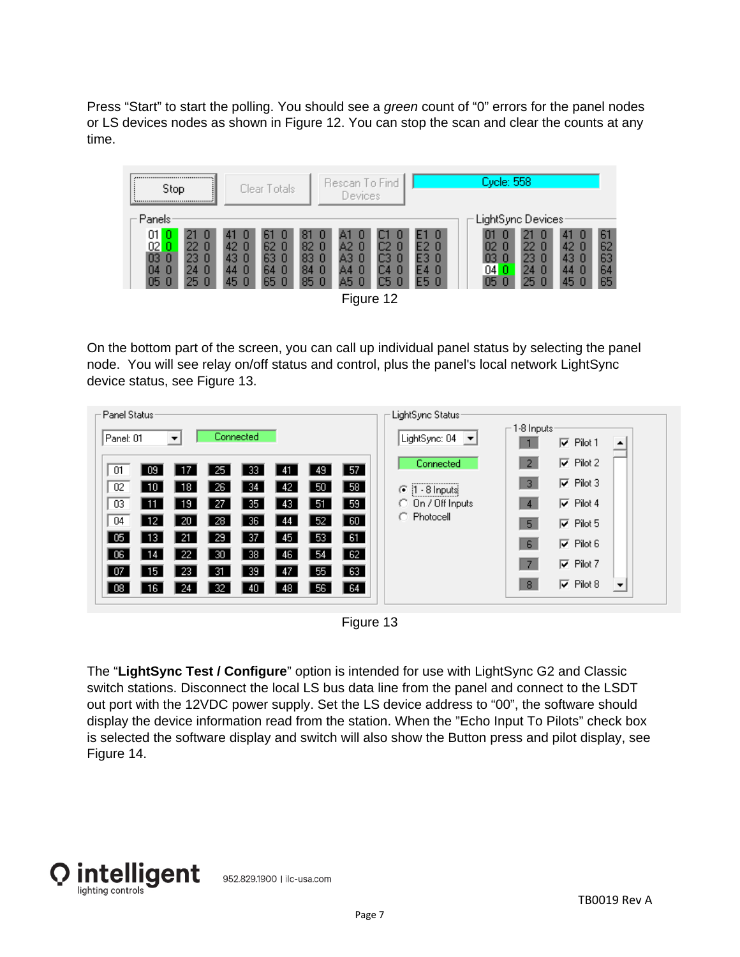Press "Start" to start the polling. You should see a *green* count of "0" errors for the panel nodes or LS devices nodes as shown in Figure 12. You can stop the scan and clear the counts at any time.



On the bottom part of the screen, you can call up individual panel status by selecting the panel node. You will see relay on/off status and control, plus the panel's local network LightSync device status, see Figure 13.

| Panel Status <sup>,</sup>                                                                                 | LightSync Status:                                                                                           |
|-----------------------------------------------------------------------------------------------------------|-------------------------------------------------------------------------------------------------------------|
| Connected<br>Panel: 01<br>▼                                                                               | $\sqsubset$ 1-8 Inputs:<br>LightSync: 04<br>$\vert \bm{\tau} \vert$<br>$\nabla$ Pilot 1<br>$\blacktriangle$ |
| 57<br>01<br>  09<br>17<br>-33<br>-25<br>49<br>-41                                                         | $\nabla$ Pilot 2<br>$\overline{2}$<br>Connected                                                             |
| 58<br>02<br>50<br>10<br>26<br>-34<br>18<br>42                                                             | $\nabla$ Pilot 3<br>3.<br>$1 - 8$ Inputs<br>G                                                               |
| 59  <br>03<br>35<br>51<br>11<br>19<br>-27<br>43.                                                          | $\nabla$ Pilot 4<br>C On / Off Inputs<br>$\overline{4}$                                                     |
| 60<br>04<br>  12<br>20<br>28<br>36<br>52<br>44                                                            | C Photocell<br>$\nabla$ Pilot 5<br>5 <sub>1</sub>                                                           |
| 61<br>05<br>-21<br>37<br>13 <sup>°</sup><br>29<br>53<br>45                                                | $\nabla$ Pilot 6<br>6 <sup>5</sup>                                                                          |
| 22<br>38<br>62<br>-30<br>54<br>06<br>14<br>-46<br>$\sqrt{63}$<br>-23<br>-31<br>39<br>07<br>15<br>47<br>55 | $\nabla$ Pilot 7<br>-7.                                                                                     |
| $\sqrt{64}$<br>-24<br>32<br>08 <sub>1</sub><br>56<br>16<br>-40<br>48                                      | $\nabla$ Pilot 8<br>8 <sup>°</sup><br>$\overline{\phantom{a}}$                                              |
|                                                                                                           |                                                                                                             |

Figure 13

The "**LightSync Test / Configure**" option is intended for use with LightSync G2 and Classic switch stations. Disconnect the local LS bus data line from the panel and connect to the LSDT out port with the 12VDC power supply. Set the LS device address to "00", the software should display the device information read from the station. When the "Echo Input To Pilots" check box is selected the software display and switch will also show the Button press and pilot display, see Figure 14.

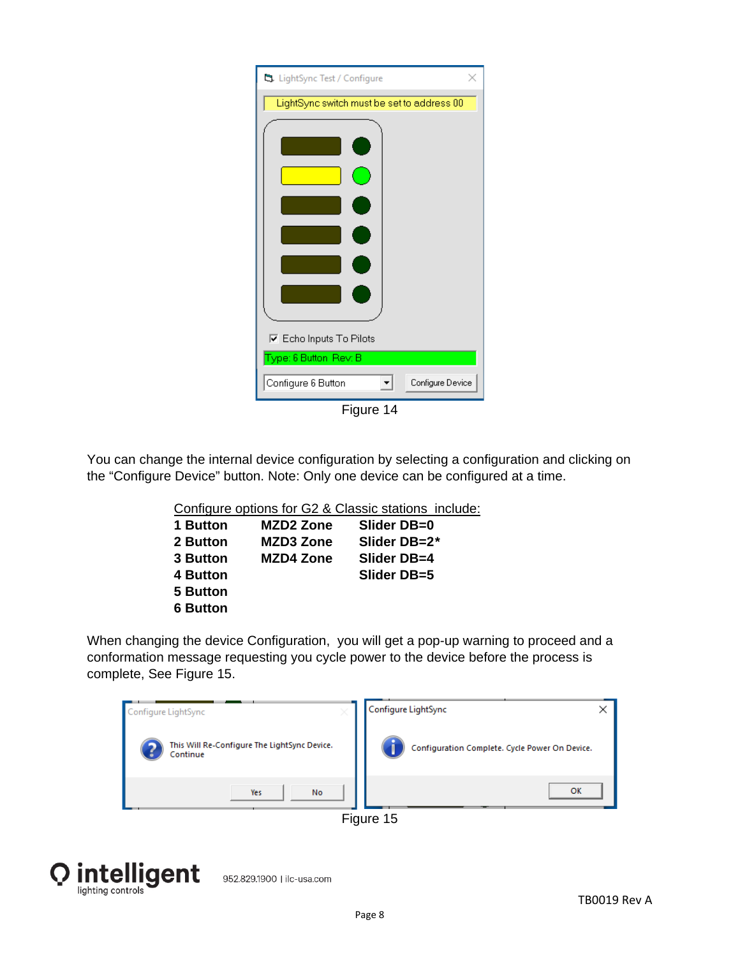| S. LightSync Test / Configure              |
|--------------------------------------------|
| LightSync switch must be set to address 00 |
|                                            |
| <b>▽</b> Echo Inputs To Pilots             |
| Type: 6 Button Rev: B                      |
| Configure 6 Button<br>Configure Device     |

Figure 14

You can change the internal device configuration by selecting a configuration and clicking on the "Configure Device" button. Note: Only one device can be configured at a time.

|                 |                  | Configure options for G2 & Classic stations include: |
|-----------------|------------------|------------------------------------------------------|
| 1 Button        | MZD2 Zone        | Slider DB=0                                          |
| <b>2 Button</b> | <b>MZD3 Zone</b> | Slider DB=2*                                         |
|                 |                  |                                                      |

| <b>3 Button</b> | <b>MZD4 Zone</b> | Slider DB=4 |
|-----------------|------------------|-------------|
| 4 Button        |                  | Slider DB=5 |
| 5 Button        |                  |             |
| <b>6 Button</b> |                  |             |

When changing the device Configuration, you will get a pop-up warning to proceed and a conformation message requesting you cycle power to the device before the process is complete, See Figure 15.

| Configure LightSync<br>×                                 | Configure LightSync<br>×                       |
|----------------------------------------------------------|------------------------------------------------|
| This Will Re-Configure The LightSync Device.<br>Continue | Configuration Complete. Cycle Power On Device. |
| No<br>Yes                                                | OK                                             |
|                                                          | Figure 15                                      |

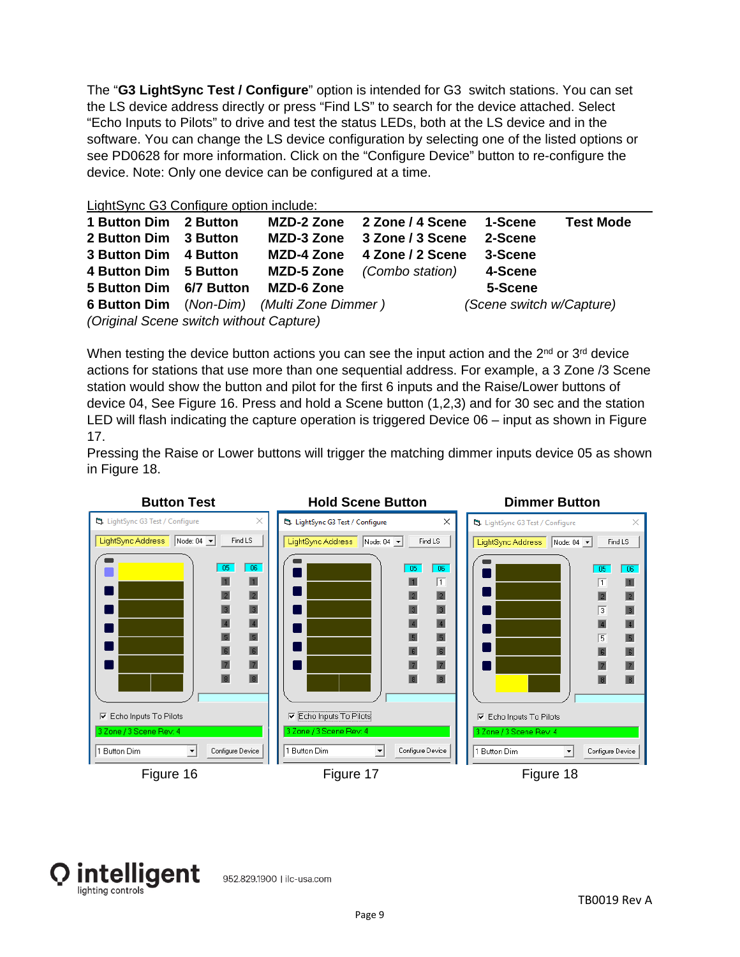The "**G3 LightSync Test / Configure**" option is intended for G3 switch stations. You can set the LS device address directly or press "Find LS" to search for the device attached. Select "Echo Inputs to Pilots" to drive and test the status LEDs, both at the LS device and in the software. You can change the LS device configuration by selecting one of the listed options or see PD0628 for more information. Click on the "Configure Device" button to re-configure the device. Note: Only one device can be configured at a time.

| LightSync G3 Configure option include: |  |  |
|----------------------------------------|--|--|
|                                        |  |  |

| 1 Button Dim 2 Button                   |  | <b>MZD-2 Zone</b>                                 | 2 Zone / 4 Scene | 1-Scene                  | <b>Test Mode</b> |  |
|-----------------------------------------|--|---------------------------------------------------|------------------|--------------------------|------------------|--|
| 2 Button Dim 3 Button                   |  | MZD-3 Zone                                        | 3 Zone / 3 Scene | 2-Scene                  |                  |  |
| 3 Button Dim 4 Button                   |  | <b>MZD-4 Zone</b>                                 | 4 Zone / 2 Scene | 3-Scene                  |                  |  |
| 4 Button Dim 5 Button                   |  | MZD-5 Zone                                        | (Combo station)  | 4-Scene                  |                  |  |
| 5 Button Dim 6/7 Button                 |  | <b>MZD-6 Zone</b>                                 |                  | 5-Scene                  |                  |  |
|                                         |  | <b>6 Button Dim</b> (Non-Dim) (Multi Zone Dimmer) |                  | (Scene switch w/Capture) |                  |  |
| (Original Scene switch without Capture) |  |                                                   |                  |                          |                  |  |

When testing the device button actions you can see the input action and the 2<sup>nd</sup> or 3<sup>rd</sup> device actions for stations that use more than one sequential address. For example, a 3 Zone /3 Scene station would show the button and pilot for the first 6 inputs and the Raise/Lower buttons of device 04, See Figure 16. Press and hold a Scene button (1,2,3) and for 30 sec and the station LED will flash indicating the capture operation is triggered Device 06 – input as shown in Figure 17.

Pressing the Raise or Lower buttons will trigger the matching dimmer inputs device 05 as shown in Figure 18.



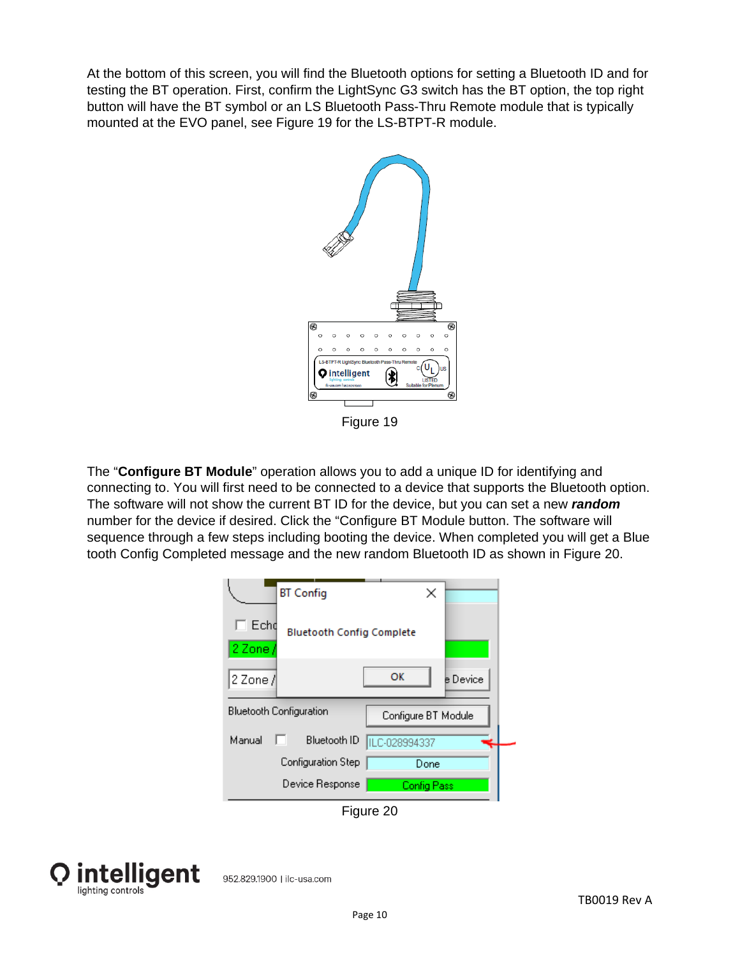At the bottom of this screen, you will find the Bluetooth options for setting a Bluetooth ID and for testing the BT operation. First, confirm the LightSync G3 switch has the BT option, the top right button will have the BT symbol or an LS Bluetooth Pass-Thru Remote module that is typically mounted at the EVO panel, see Figure 19 for the LS-BTPT-R module.



Figure 19

The "**Configure BT Module**" operation allows you to add a unique ID for identifying and connecting to. You will first need to be connected to a device that supports the Bluetooth option. The software will not show the current BT ID for the device, but you can set a new *random* number for the device if desired. Click the "Configure BT Module button. The software will sequence through a few steps including booting the device. When completed you will get a Blue tooth Config Completed message and the new random Bluetooth ID as shown in Figure 20.

|                         | <b>BT</b> Config                 | ×                   |          |
|-------------------------|----------------------------------|---------------------|----------|
| Echd<br>2 Zone /        | <b>Bluetooth Config Complete</b> |                     |          |
| 2 Zone /                |                                  | OK                  | e Device |
| Bluetooth Configuration |                                  | Configure BT Module |          |
| Manual                  | Bluetooth ID<br>H                | ILC-028994337       |          |
|                         | Configuration Step               | Done                |          |
|                         | Device Response                  | <b>Config Pass</b>  |          |

Figure 20



952.829.1900 | ilc-usa.com